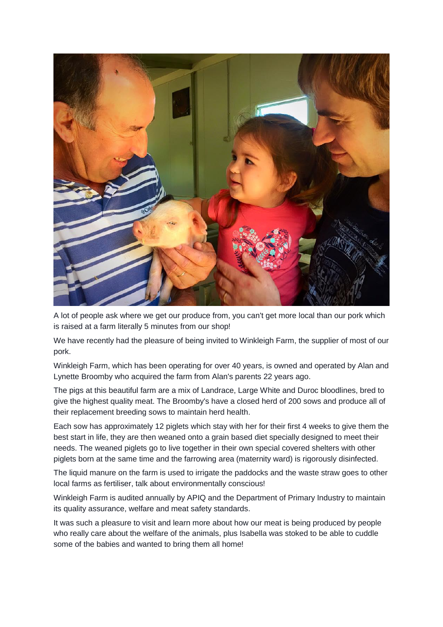

A lot of people ask where we get our produce from, you can't get more local than our pork which is raised at a farm literally 5 minutes from our shop!

We have recently had the pleasure of being invited to Winkleigh Farm, the supplier of most of our pork.

Winkleigh Farm, which has been operating for over 40 years, is owned and operated by Alan and Lynette Broomby who acquired the farm from Alan's parents 22 years ago.

The pigs at this beautiful farm are a mix of Landrace, Large White and Duroc bloodlines, bred to give the highest quality meat. The Broomby's have a closed herd of 200 sows and produce all of their replacement breeding sows to maintain herd health.

Each sow has approximately 12 piglets which stay with her for their first 4 weeks to give them the best start in life, they are then weaned onto a grain based diet specially designed to meet their needs. The weaned piglets go to live together in their own special covered shelters with other piglets born at the same time and the farrowing area (maternity ward) is rigorously disinfected.

The liquid manure on the farm is used to irrigate the paddocks and the waste straw goes to other local farms as fertiliser, talk about environmentally conscious!

Winkleigh Farm is audited annually by APIQ and the Department of Primary Industry to maintain its quality assurance, welfare and meat safety standards.

It was such a pleasure to visit and learn more about how our meat is being produced by people who really care about the welfare of the animals, plus Isabella was stoked to be able to cuddle some of the babies and wanted to bring them all home!